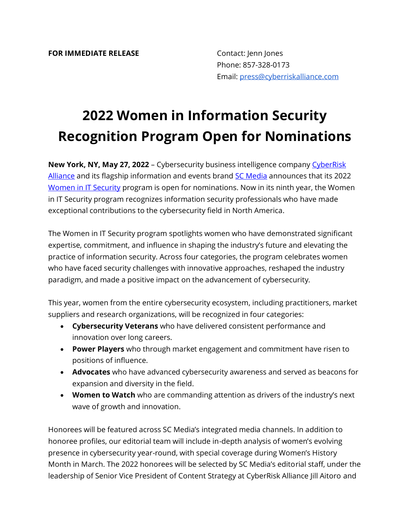## **2022 Women in Information Security Recognition Program Open for Nominations**

**New York, NY, May 27, 2022** – Cybersecurity business intelligence company CyberRisk [Alliance](https://www.cyberriskalliance.com/) and its flagship information and events brand [SC Media](https://www.scmagazine.com/) announces that its 2022 [Women in IT Security](https://www.scmagazine.com/women-in-it-security) program is open for nominations. Now in its ninth year, the Women in IT Security program recognizes information security professionals who have made exceptional contributions to the cybersecurity field in North America.

The Women in IT Security program spotlights women who have demonstrated significant expertise, commitment, and influence in shaping the industry's future and elevating the practice of information security. Across four categories, the program celebrates women who have faced security challenges with innovative approaches, reshaped the industry paradigm, and made a positive impact on the advancement of cybersecurity.

This year, women from the entire cybersecurity ecosystem, including practitioners, market suppliers and research organizations, will be recognized in four categories:

- **Cybersecurity Veterans** who have delivered consistent performance and innovation over long careers.
- **Power Players** who through market engagement and commitment have risen to positions of influence.
- **Advocates** who have advanced cybersecurity awareness and served as beacons for expansion and diversity in the field.
- **Women to Watch** who are commanding attention as drivers of the industry's next wave of growth and innovation.

Honorees will be featured across SC Media's integrated media channels. In addition to honoree profiles, our editorial team will include in-depth analysis of women's evolving presence in cybersecurity year-round, with special coverage during Women's History Month in March. The 2022 honorees will be selected by SC Media's editorial staff, under the leadership of Senior Vice President of Content Strategy at CyberRisk Alliance Jill Aitoro and